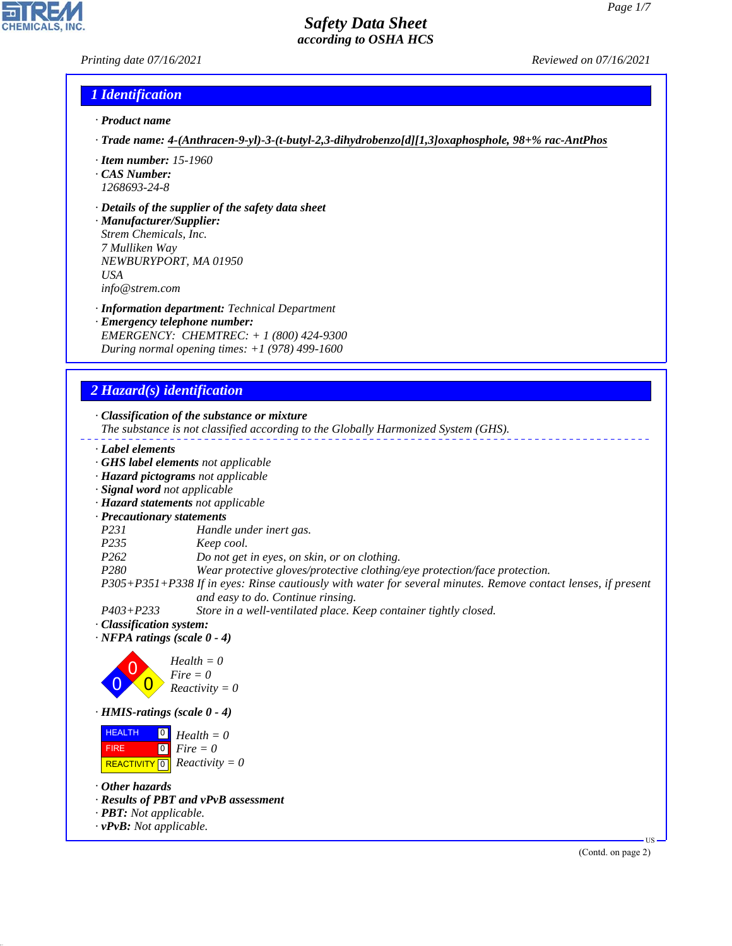## *Printing date 07/16/2021 Reviewed on 07/16/2021*

#### *1 Identification*

- *· Product name*
- *· Trade name: 4-(Anthracen-9-yl)-3-(t-butyl-2,3-dihydrobenzo[d][1,3]oxaphosphole, 98+% rac-AntPhos*
- *· Item number: 15-1960*
- *· CAS Number: 1268693-24-8*
- *· Details of the supplier of the safety data sheet*

*· Manufacturer/Supplier: Strem Chemicals, Inc. 7 Mulliken Way NEWBURYPORT, MA 01950 USA info@strem.com*

- *· Information department: Technical Department*
- *· Emergency telephone number: EMERGENCY: CHEMTREC: + 1 (800) 424-9300 During normal opening times: +1 (978) 499-1600*

## *2 Hazard(s) identification*

*· Classification of the substance or mixture*

- *The substance is not classified according to the Globally Harmonized System (GHS).*
- *· Label elements*
- *· GHS label elements not applicable*
- *· Hazard pictograms not applicable*
- *· Signal word not applicable*
- *· Hazard statements not applicable*
- *· Precautionary statements*
- *P231 Handle under inert gas.*
- *P235 Keep cool.*
- *P262 Do not get in eyes, on skin, or on clothing.*
- *P280 Wear protective gloves/protective clothing/eye protection/face protection.*

*P305+P351+P338 If in eyes: Rinse cautiously with water for several minutes. Remove contact lenses, if present and easy to do. Continue rinsing.*

- *P403+P233 Store in a well-ventilated place. Keep container tightly closed.*
- *· Classification system:*
- *· NFPA ratings (scale 0 4)*



*· HMIS-ratings (scale 0 - 4)*

**HEALTH**  FIRE  $\boxed{\text{REACTIVITY} \boxed{0}}$  Reactivity = 0  $\overline{0}$  $\boxed{0}$ *Health = 0 Fire = 0*

*· Other hazards*

44.1.1

- *· Results of PBT and vPvB assessment*
- *· PBT: Not applicable.*
- *· vPvB: Not applicable.*

(Contd. on page 2)

US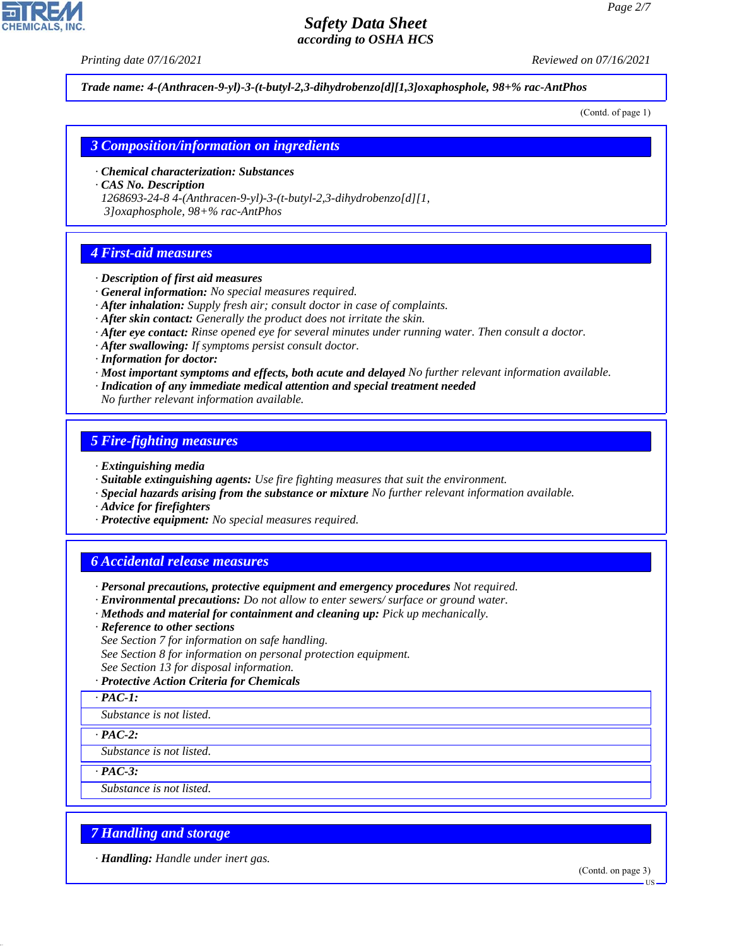*Printing date 07/16/2021 Reviewed on 07/16/2021*

*Trade name: 4-(Anthracen-9-yl)-3-(t-butyl-2,3-dihydrobenzo[d][1,3]oxaphosphole, 98+% rac-AntPhos*

(Contd. of page 1)

## *3 Composition/information on ingredients*

- *· Chemical characterization: Substances*
- *· CAS No. Description*
- *1268693-24-8 4-(Anthracen-9-yl)-3-(t-butyl-2,3-dihydrobenzo[d][1,*

 *3]oxaphosphole, 98+% rac-AntPhos*

# *4 First-aid measures*

- *· Description of first aid measures*
- *· General information: No special measures required.*
- *· After inhalation: Supply fresh air; consult doctor in case of complaints.*
- *· After skin contact: Generally the product does not irritate the skin.*
- *· After eye contact: Rinse opened eye for several minutes under running water. Then consult a doctor.*
- *· After swallowing: If symptoms persist consult doctor.*
- *· Information for doctor:*
- *· Most important symptoms and effects, both acute and delayed No further relevant information available.*
- *· Indication of any immediate medical attention and special treatment needed*

*No further relevant information available.*

#### *5 Fire-fighting measures*

- *· Extinguishing media*
- *· Suitable extinguishing agents: Use fire fighting measures that suit the environment.*
- *· Special hazards arising from the substance or mixture No further relevant information available.*
- *· Advice for firefighters*
- *· Protective equipment: No special measures required.*

## *6 Accidental release measures*

- *· Personal precautions, protective equipment and emergency procedures Not required.*
- *· Environmental precautions: Do not allow to enter sewers/ surface or ground water.*
- *· Methods and material for containment and cleaning up: Pick up mechanically.*
- *· Reference to other sections*
- *See Section 7 for information on safe handling.*
- *See Section 8 for information on personal protection equipment.*
- *See Section 13 for disposal information.*

#### *· Protective Action Criteria for Chemicals*

```
· PAC-1:
```
*Substance is not listed.*

*· PAC-2:*

*Substance is not listed.*

*· PAC-3:*

44.1.1

*Substance is not listed.*

# *7 Handling and storage*

*· Handling: Handle under inert gas.*

(Contd. on page 3)



US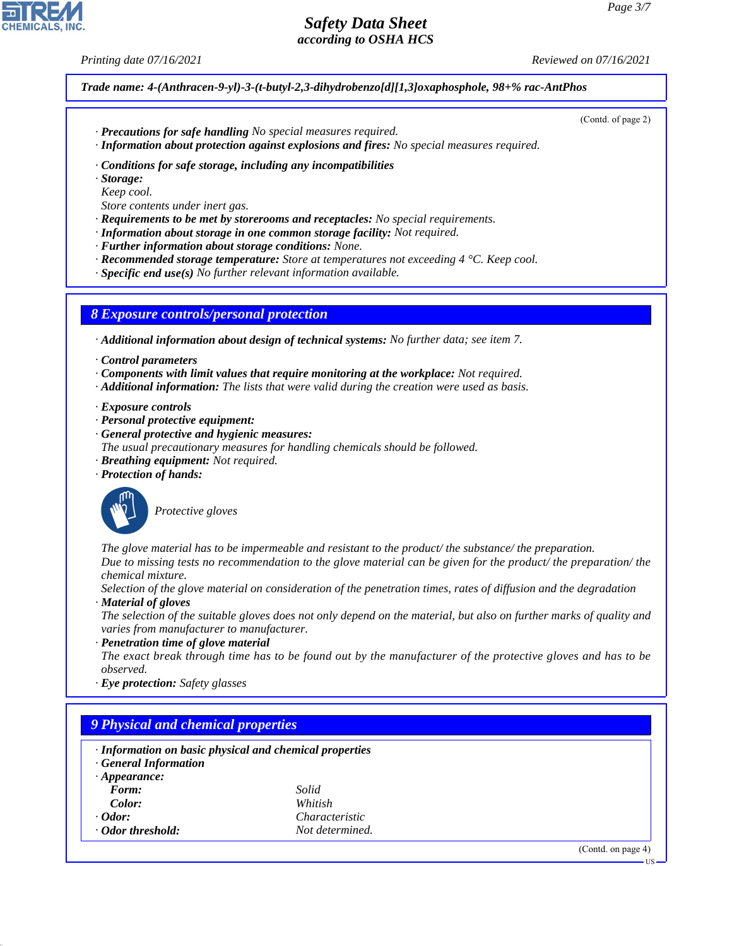*Printing date 07/16/2021 Reviewed on 07/16/2021*

(Contd. of page 2)

*Trade name: 4-(Anthracen-9-yl)-3-(t-butyl-2,3-dihydrobenzo[d][1,3]oxaphosphole, 98+% rac-AntPhos*

- *· Precautions for safe handling No special measures required.*
- *· Information about protection against explosions and fires: No special measures required.*
- *· Conditions for safe storage, including any incompatibilities*
- *· Storage:*
- *Keep cool.*
- *Store contents under inert gas.*
- *· Requirements to be met by storerooms and receptacles: No special requirements.*
- *· Information about storage in one common storage facility: Not required.*
- *· Further information about storage conditions: None.*
- *· Recommended storage temperature: Store at temperatures not exceeding 4 °C. Keep cool.*
- *· Specific end use(s) No further relevant information available.*

*8 Exposure controls/personal protection*

*· Additional information about design of technical systems: No further data; see item 7.*

- *· Control parameters*
- *· Components with limit values that require monitoring at the workplace: Not required.*
- *· Additional information: The lists that were valid during the creation were used as basis.*
- *· Exposure controls*
- *· Personal protective equipment:*
- *· General protective and hygienic measures:*
- *The usual precautionary measures for handling chemicals should be followed.*
- *· Breathing equipment: Not required.*
- *· Protection of hands:*



44.1.1

\_S*Protective gloves*

*The glove material has to be impermeable and resistant to the product/ the substance/ the preparation. Due to missing tests no recommendation to the glove material can be given for the product/ the preparation/ the chemical mixture.*

*Selection of the glove material on consideration of the penetration times, rates of diffusion and the degradation · Material of gloves*

*The selection of the suitable gloves does not only depend on the material, but also on further marks of quality and varies from manufacturer to manufacturer.*

*· Penetration time of glove material*

*The exact break through time has to be found out by the manufacturer of the protective gloves and has to be observed.*

*· Eye protection: Safety glasses*

| · Information on basic physical and chemical properties<br><b>General Information</b> |                       |  |  |  |
|---------------------------------------------------------------------------------------|-----------------------|--|--|--|
| $\cdot$ Appearance:                                                                   |                       |  |  |  |
| Form:                                                                                 | Solid                 |  |  |  |
| Color:                                                                                | Whitish               |  |  |  |
| $\cdot$ Odor:                                                                         | <i>Characteristic</i> |  |  |  |
| Odor threshold:                                                                       | Not determined.       |  |  |  |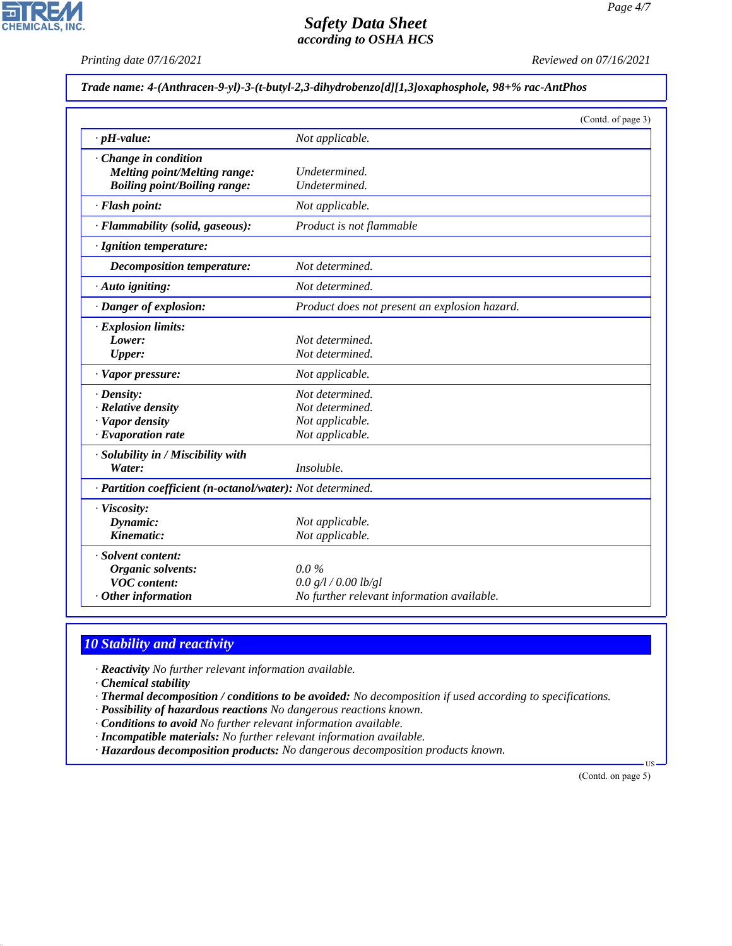*Printing date 07/16/2021 Reviewed on 07/16/2021*

*Trade name: 4-(Anthracen-9-yl)-3-(t-butyl-2,3-dihydrobenzo[d][1,3]oxaphosphole, 98+% rac-AntPhos*

|                                                            | (Contd. of page 3)                            |  |
|------------------------------------------------------------|-----------------------------------------------|--|
| $\cdot$ pH-value:                                          | Not applicable.                               |  |
| Change in condition                                        |                                               |  |
| <b>Melting point/Melting range:</b>                        | Undetermined.                                 |  |
| <b>Boiling point/Boiling range:</b>                        | Undetermined.                                 |  |
| · Flash point:                                             | Not applicable.                               |  |
| · Flammability (solid, gaseous):                           | Product is not flammable                      |  |
| · Ignition temperature:                                    |                                               |  |
| <b>Decomposition temperature:</b>                          | Not determined.                               |  |
| · Auto igniting:                                           | Not determined.                               |  |
| · Danger of explosion:                                     | Product does not present an explosion hazard. |  |
| · Explosion limits:                                        |                                               |  |
| Lower:                                                     | Not determined.                               |  |
| Upper:                                                     | Not determined.                               |  |
| · Vapor pressure:                                          | Not applicable.                               |  |
| $\cdot$ Density:                                           | Not determined.                               |  |
| · Relative density                                         | Not determined.                               |  |
| · Vapor density                                            | Not applicable.                               |  |
| $\cdot$ Evaporation rate                                   | Not applicable.                               |  |
| · Solubility in / Miscibility with                         |                                               |  |
| Water:                                                     | Insoluble.                                    |  |
| · Partition coefficient (n-octanol/water): Not determined. |                                               |  |
| · Viscosity:                                               |                                               |  |
| Dynamic:                                                   | Not applicable.                               |  |
| Kinematic:                                                 | Not applicable.                               |  |
| · Solvent content:                                         |                                               |  |
| Organic solvents:                                          | $0.0\%$                                       |  |
| <b>VOC</b> content:                                        | 0.0 g/l / 0.00 lb/gl                          |  |
| $·$ Other information                                      | No further relevant information available.    |  |

# *10 Stability and reactivity*

*· Reactivity No further relevant information available.*

*· Chemical stability*

44.1.1

- *· Thermal decomposition / conditions to be avoided: No decomposition if used according to specifications.*
- *· Possibility of hazardous reactions No dangerous reactions known.*
- *· Conditions to avoid No further relevant information available.*
- *· Incompatible materials: No further relevant information available.*
- *· Hazardous decomposition products: No dangerous decomposition products known.*

(Contd. on page 5)

US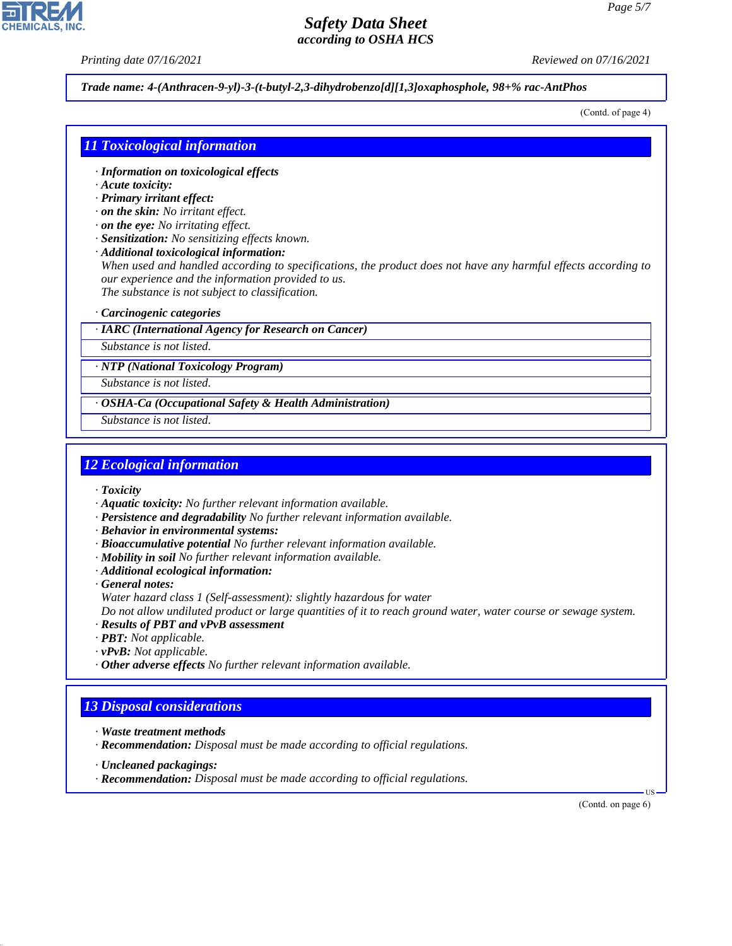*Printing date 07/16/2021 Reviewed on 07/16/2021*

*Trade name: 4-(Anthracen-9-yl)-3-(t-butyl-2,3-dihydrobenzo[d][1,3]oxaphosphole, 98+% rac-AntPhos*

(Contd. of page 4)

#### *11 Toxicological information*

- *· Information on toxicological effects*
- *· Acute toxicity:*
- *· Primary irritant effect:*
- *· on the skin: No irritant effect.*
- *· on the eye: No irritating effect.*
- *· Sensitization: No sensitizing effects known.*
- *· Additional toxicological information:*

*When used and handled according to specifications, the product does not have any harmful effects according to our experience and the information provided to us. The substance is not subject to classification.*

*· Carcinogenic categories*

*· IARC (International Agency for Research on Cancer)*

*Substance is not listed.*

*· NTP (National Toxicology Program)*

*Substance is not listed.*

*· OSHA-Ca (Occupational Safety & Health Administration)*

*Substance is not listed.*

#### *12 Ecological information*

*· Toxicity*

- *· Aquatic toxicity: No further relevant information available.*
- *· Persistence and degradability No further relevant information available.*
- *· Behavior in environmental systems:*
- *· Bioaccumulative potential No further relevant information available.*
- *· Mobility in soil No further relevant information available.*
- *· Additional ecological information:*
- *· General notes:*
- *Water hazard class 1 (Self-assessment): slightly hazardous for water*

*Do not allow undiluted product or large quantities of it to reach ground water, water course or sewage system.*

- *· Results of PBT and vPvB assessment*
- *· PBT: Not applicable.*
- *· vPvB: Not applicable.*
- *· Other adverse effects No further relevant information available.*

#### *13 Disposal considerations*

- *· Waste treatment methods*
- *· Recommendation: Disposal must be made according to official regulations.*
- *· Uncleaned packagings:*

44.1.1

*· Recommendation: Disposal must be made according to official regulations.*

(Contd. on page 6)

US

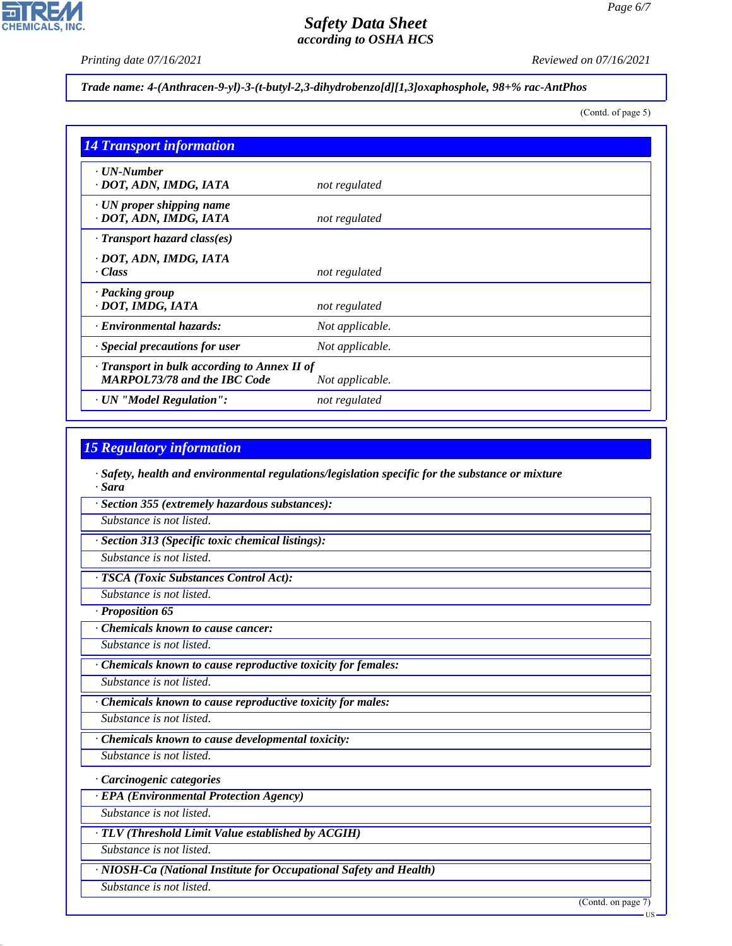*Page 6/7*

*Printing date 07/16/2021 Reviewed on 07/16/2021*

*Trade name: 4-(Anthracen-9-yl)-3-(t-butyl-2,3-dihydrobenzo[d][1,3]oxaphosphole, 98+% rac-AntPhos*

(Contd. of page 5)

| <b>14 Transport information</b>                                                           |                 |
|-------------------------------------------------------------------------------------------|-----------------|
| ⋅ UN-Number<br>· DOT, ADN, IMDG, IATA                                                     | not regulated   |
| $\cdot$ UN proper shipping name<br>· DOT, ADN, IMDG, IATA                                 | not regulated   |
| · Transport hazard class(es)                                                              |                 |
| · DOT, ADN, IMDG, IATA<br>$\cdot$ Class                                                   | not regulated   |
| · Packing group<br>· DOT, IMDG, IATA                                                      | not regulated   |
| · Environmental hazards:                                                                  | Not applicable. |
| Special precautions for user                                                              | Not applicable. |
| $\cdot$ Transport in bulk according to Annex II of<br><b>MARPOL73/78 and the IBC Code</b> | Not applicable. |
| · UN "Model Regulation":                                                                  | not regulated   |

## *15 Regulatory information*

*· Safety, health and environmental regulations/legislation specific for the substance or mixture · Sara*

*· Section 355 (extremely hazardous substances):*

*Substance is not listed.*

*· Section 313 (Specific toxic chemical listings):*

*Substance is not listed.*

*· TSCA (Toxic Substances Control Act):*

*Substance is not listed.*

*· Proposition 65*

*· Chemicals known to cause cancer:*

*Substance is not listed.*

*· Chemicals known to cause reproductive toxicity for females:*

*Substance is not listed.*

*· Chemicals known to cause reproductive toxicity for males:*

*Substance is not listed.*

*· Chemicals known to cause developmental toxicity:*

*Substance is not listed.*

*· Carcinogenic categories*

*· EPA (Environmental Protection Agency)*

*Substance is not listed.*

*· TLV (Threshold Limit Value established by ACGIH)*

*Substance is not listed.*

*· NIOSH-Ca (National Institute for Occupational Safety and Health)*

*Substance is not listed.*

44.1.1

(Contd. on page 7)